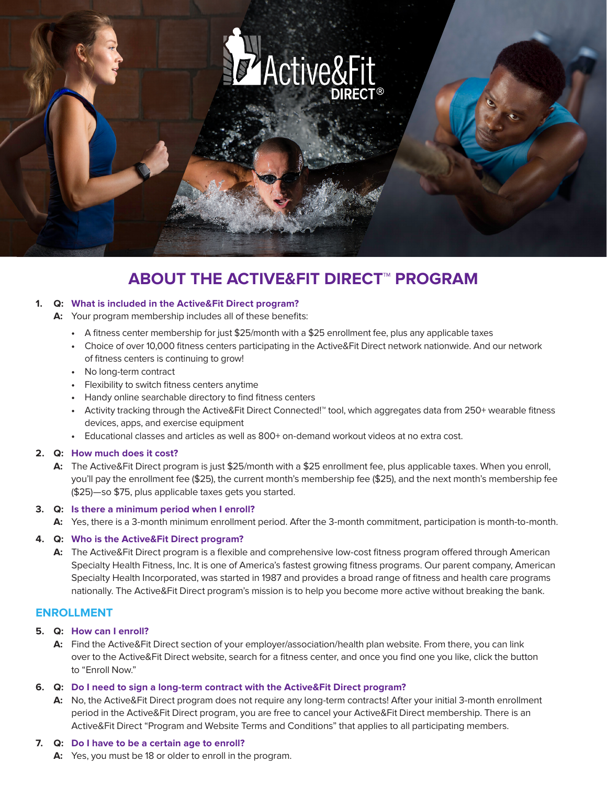

# **ABOUT THE ACTIVE&FIT DIRECT™ PROGRAM**

#### **1. Q: What is included in the Active&Fit Direct program?**

- **A:** Your program membership includes all of these benefits:
	- **•** A fitness center membership for just \$25/month with a \$25 enrollment fee, plus any applicable taxes
	- **•** Choice of over 10,000 fitness centers participating in the Active&Fit Direct network nationwide. And our network of fitness centers is continuing to grow!
	- **•** No long-term contract
	- **•** Flexibility to switch fitness centers anytime
	- **•** Handy online searchable directory to find fitness centers
	- **•** Activity tracking through the Active&Fit Direct Connected!™ tool, which aggregates data from 250+ wearable fitness devices, apps, and exercise equipment
	- **•** Educational classes and articles as well as 800+ on-demand workout videos at no extra cost.

#### **2. Q: How much does it cost?**

**A:** The Active&Fit Direct program is just \$25/month with a \$25 enrollment fee, plus applicable taxes. When you enroll, you'll pay the enrollment fee (\$25), the current month's membership fee (\$25), and the next month's membership fee (\$25)—so \$75, plus applicable taxes gets you started.

## **3. Q: Is there a minimum period when I enroll?**

**A:** Yes, there is a 3-month minimum enrollment period. After the 3-month commitment, participation is month-to-month.

## **4. Q: Who is the Active&Fit Direct program?**

**A:** The Active&Fit Direct program is a flexible and comprehensive low-cost fitness program offered through American Specialty Health Fitness, Inc. It is one of America's fastest growing fitness programs. Our parent company, American Specialty Health Incorporated, was started in 1987 and provides a broad range of fitness and health care programs nationally. The Active&Fit Direct program's mission is to help you become more active without breaking the bank.

# **ENROLLMENT**

#### **5. Q: How can I enroll?**

**A:** Find the Active&Fit Direct section of your employer/association/health plan website. From there, you can link over to the Active&Fit Direct website, search for a fitness center, and once you find one you like, click the button to "Enroll Now."

#### **6. Q: Do I need to sign a long-term contract with the Active&Fit Direct program?**

**A:** No, the Active&Fit Direct program does not require any long-term contracts! After your initial 3-month enrollment period in the Active&Fit Direct program, you are free to cancel your Active&Fit Direct membership. There is an Active&Fit Direct "Program and Website Terms and Conditions" that applies to all participating members.

#### **7. Q: Do I have to be a certain age to enroll?**

**A:** Yes, you must be 18 or older to enroll in the program.